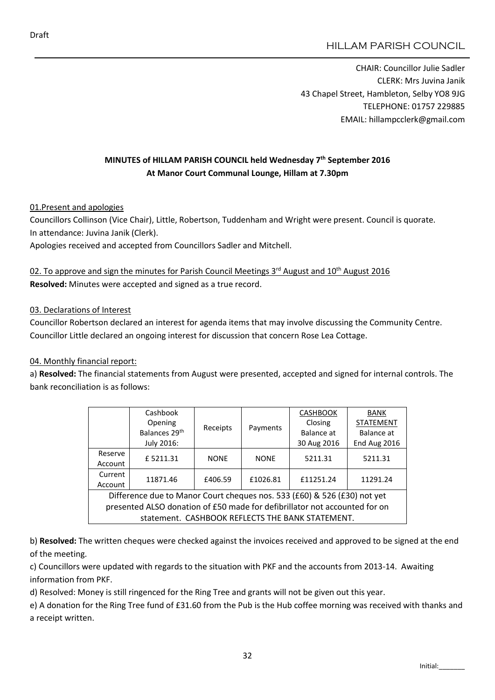CHAIR: Councillor Julie Sadler CLERK: Mrs Juvina Janik 43 Chapel Street, Hambleton, Selby YO8 9JG TELEPHONE: 01757 229885 EMAIL: hillampcclerk@gmail.com

## MINUTES of HILLAM PARISH COUNCIL held Wednesday 7<sup>th</sup> September 2016 At Manor Court Communal Lounge, Hillam at 7.30pm

01.Present and apologies

Councillors Collinson (Vice Chair), Little, Robertson, Tuddenham and Wright were present. Council is quorate. In attendance: Juvina Janik (Clerk).

Apologies received and accepted from Councillors Sadler and Mitchell.

02. To approve and sign the minutes for Parish Council Meetings 3rd August and 10<sup>th</sup> August 2016 Resolved: Minutes were accepted and signed as a true record.

#### 03. Declarations of Interest

Councillor Robertson declared an interest for agenda items that may involve discussing the Community Centre. Councillor Little declared an ongoing interest for discussion that concern Rose Lea Cottage.

#### 04. Monthly financial report:

a) Resolved: The financial statements from August were presented, accepted and signed for internal controls. The bank reconciliation is as follows:

|                                                                            | Cashbook<br>Opening<br>Receipts<br>Balances 29 <sup>th</sup> |             |             | <b>CASHBOOK</b>  | <b>BANK</b>  |
|----------------------------------------------------------------------------|--------------------------------------------------------------|-------------|-------------|------------------|--------------|
|                                                                            |                                                              | Payments    | Closing     | <b>STATEMENT</b> |              |
|                                                                            |                                                              |             |             | Balance at       | Balance at   |
|                                                                            | July 2016:                                                   |             |             | 30 Aug 2016      | End Aug 2016 |
| Reserve<br>Account                                                         | £5211.31                                                     | <b>NONE</b> | <b>NONE</b> | 5211.31          | 5211.31      |
| Current<br>Account                                                         | 11871.46                                                     | £406.59     | £1026.81    | £11251.24        | 11291.24     |
| Difference due to Manor Court cheques nos. 533 (£60) & 526 (£30) not yet   |                                                              |             |             |                  |              |
| presented ALSO donation of £50 made for defibrillator not accounted for on |                                                              |             |             |                  |              |
| statement. CASHBOOK REFLECTS THE BANK STATEMENT.                           |                                                              |             |             |                  |              |

b) Resolved: The written cheques were checked against the invoices received and approved to be signed at the end of the meeting.

c) Councillors were updated with regards to the situation with PKF and the accounts from 2013-14. Awaiting information from PKF.

d) Resolved: Money is still ringenced for the Ring Tree and grants will not be given out this year.

e) A donation for the Ring Tree fund of £31.60 from the Pub is the Hub coffee morning was received with thanks and a receipt written.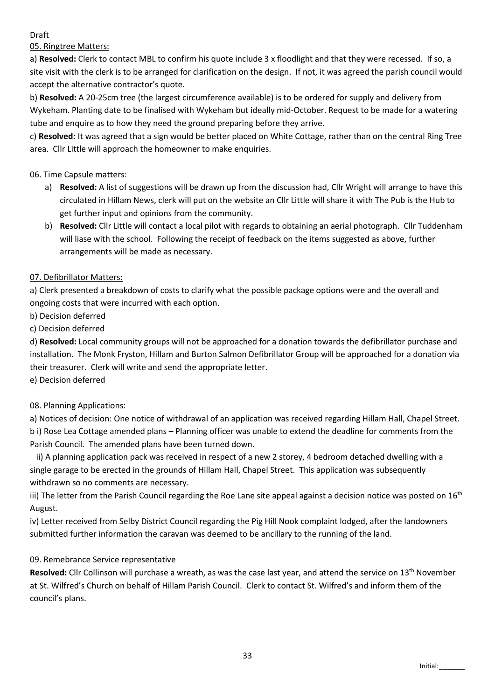### Draft

05. Ringtree Matters:

a) Resolved: Clerk to contact MBL to confirm his quote include 3 x floodlight and that they were recessed. If so, a site visit with the clerk is to be arranged for clarification on the design. If not, it was agreed the parish council would accept the alternative contractor's quote.

b) Resolved: A 20-25cm tree (the largest circumference available) is to be ordered for supply and delivery from Wykeham. Planting date to be finalised with Wykeham but ideally mid-October. Request to be made for a watering tube and enquire as to how they need the ground preparing before they arrive.

c) Resolved: It was agreed that a sign would be better placed on White Cottage, rather than on the central Ring Tree area. Cllr Little will approach the homeowner to make enquiries.

## 06. Time Capsule matters:

- a) Resolved: A list of suggestions will be drawn up from the discussion had, Cllr Wright will arrange to have this circulated in Hillam News, clerk will put on the website an Cllr Little will share it with The Pub is the Hub to get further input and opinions from the community.
- b) Resolved: Cllr Little will contact a local pilot with regards to obtaining an aerial photograph. Cllr Tuddenham will liase with the school. Following the receipt of feedback on the items suggested as above, further arrangements will be made as necessary.

# 07. Defibrillator Matters:

a) Clerk presented a breakdown of costs to clarify what the possible package options were and the overall and ongoing costs that were incurred with each option.

b) Decision deferred

## c) Decision deferred

d) Resolved: Local community groups will not be approached for a donation towards the defibrillator purchase and installation. The Monk Fryston, Hillam and Burton Salmon Defibrillator Group will be approached for a donation via their treasurer. Clerk will write and send the appropriate letter.

e) Decision deferred

# 08. Planning Applications:

a) Notices of decision: One notice of withdrawal of an application was received regarding Hillam Hall, Chapel Street. b i) Rose Lea Cottage amended plans – Planning officer was unable to extend the deadline for comments from the Parish Council. The amended plans have been turned down.

 ii) A planning application pack was received in respect of a new 2 storey, 4 bedroom detached dwelling with a single garage to be erected in the grounds of Hillam Hall, Chapel Street. This application was subsequently withdrawn so no comments are necessary.

iii) The letter from the Parish Council regarding the Roe Lane site appeal against a decision notice was posted on  $16<sup>th</sup>$ August.

iv) Letter received from Selby District Council regarding the Pig Hill Nook complaint lodged, after the landowners submitted further information the caravan was deemed to be ancillary to the running of the land.

### 09. Remebrance Service representative

Resolved: Cllr Collinson will purchase a wreath, as was the case last year, and attend the service on 13<sup>th</sup> November at St. Wilfred's Church on behalf of Hillam Parish Council. Clerk to contact St. Wilfred's and inform them of the council's plans.